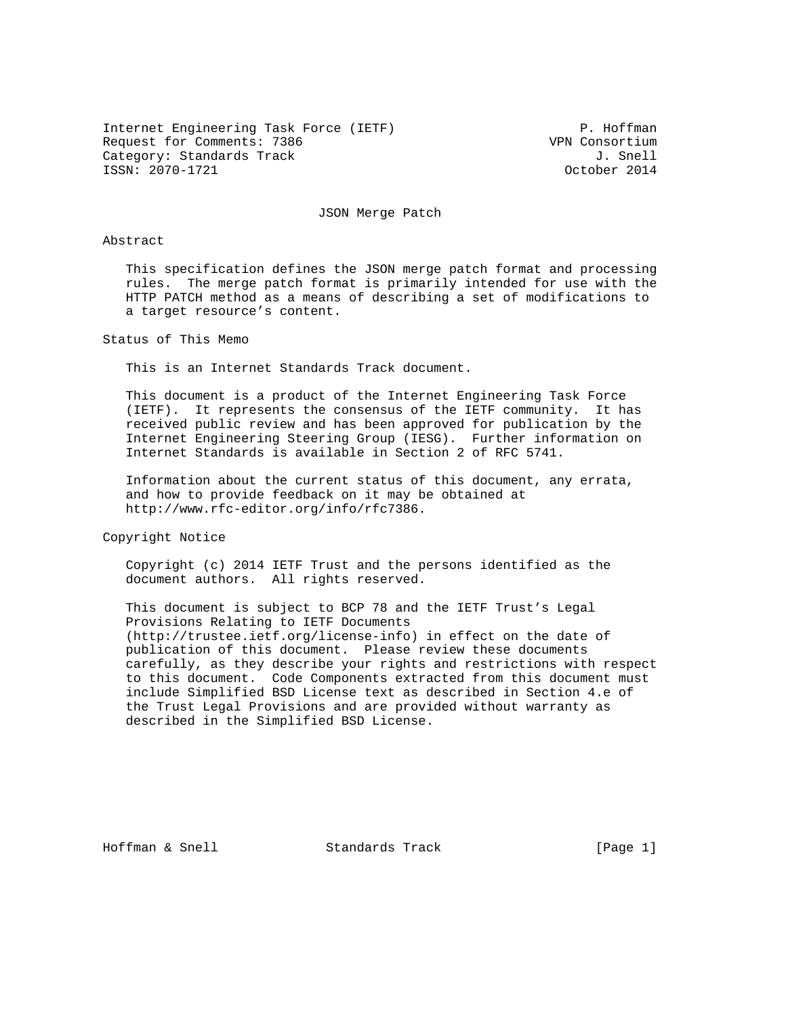Internet Engineering Task Force (IETF) P. Hoffman Request for Comments: 7386 VPN Consortium Category: Standards Track J. Snell ISSN: 2070-1721 October 2014

JSON Merge Patch

## Abstract

 This specification defines the JSON merge patch format and processing rules. The merge patch format is primarily intended for use with the HTTP PATCH method as a means of describing a set of modifications to a target resource's content.

Status of This Memo

This is an Internet Standards Track document.

 This document is a product of the Internet Engineering Task Force (IETF). It represents the consensus of the IETF community. It has received public review and has been approved for publication by the Internet Engineering Steering Group (IESG). Further information on Internet Standards is available in Section 2 of RFC 5741.

 Information about the current status of this document, any errata, and how to provide feedback on it may be obtained at http://www.rfc-editor.org/info/rfc7386.

Copyright Notice

 Copyright (c) 2014 IETF Trust and the persons identified as the document authors. All rights reserved.

 This document is subject to BCP 78 and the IETF Trust's Legal Provisions Relating to IETF Documents (http://trustee.ietf.org/license-info) in effect on the date of publication of this document. Please review these documents carefully, as they describe your rights and restrictions with respect to this document. Code Components extracted from this document must include Simplified BSD License text as described in Section 4.e of the Trust Legal Provisions and are provided without warranty as described in the Simplified BSD License.

Hoffman & Snell Standards Track [Page 1]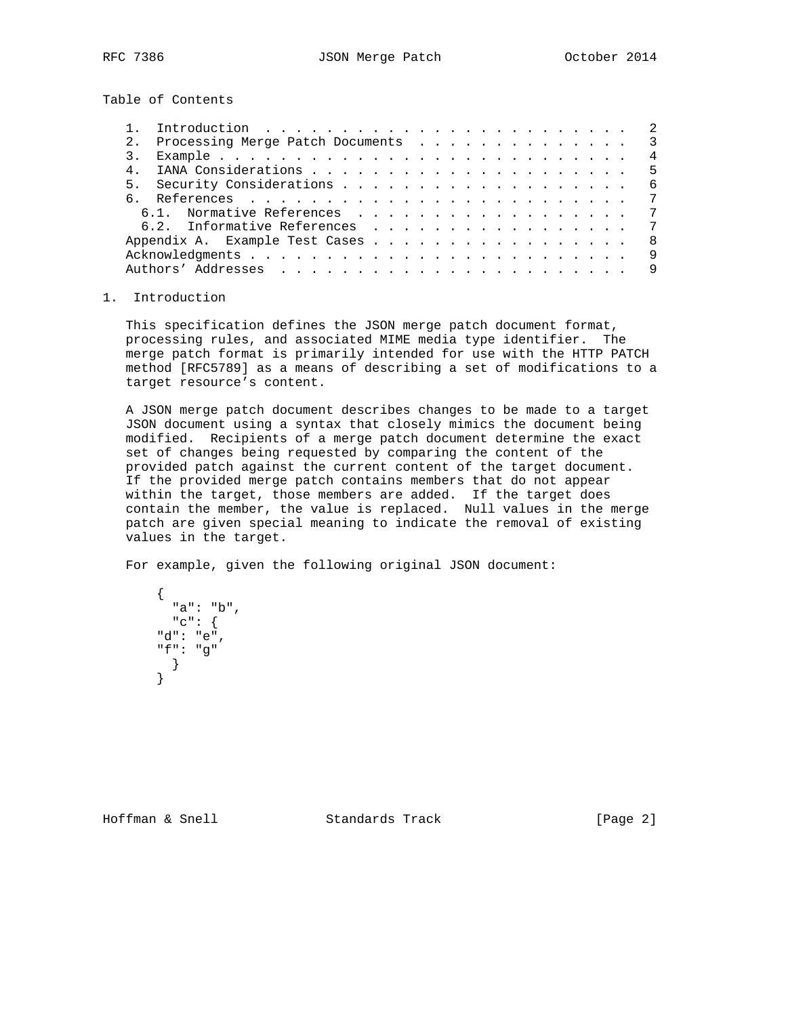Table of Contents

|  | 2. Processing Merge Patch Documents |  |  |  |  |  |  |  | $\overline{\phantom{a}3}$ |
|--|-------------------------------------|--|--|--|--|--|--|--|---------------------------|
|  |                                     |  |  |  |  |  |  |  | $\overline{4}$            |
|  |                                     |  |  |  |  |  |  |  | .5                        |
|  |                                     |  |  |  |  |  |  |  | - 6                       |
|  |                                     |  |  |  |  |  |  |  |                           |
|  |                                     |  |  |  |  |  |  |  | $\overline{7}$            |
|  |                                     |  |  |  |  |  |  |  | 7                         |
|  | Appendix A. Example Test Cases      |  |  |  |  |  |  |  | - 8                       |
|  |                                     |  |  |  |  |  |  |  | - 9                       |
|  |                                     |  |  |  |  |  |  |  |                           |

## 1. Introduction

 This specification defines the JSON merge patch document format, processing rules, and associated MIME media type identifier. The merge patch format is primarily intended for use with the HTTP PATCH method [RFC5789] as a means of describing a set of modifications to a target resource's content.

 A JSON merge patch document describes changes to be made to a target JSON document using a syntax that closely mimics the document being modified. Recipients of a merge patch document determine the exact set of changes being requested by comparing the content of the provided patch against the current content of the target document. If the provided merge patch contains members that do not appear within the target, those members are added. If the target does contain the member, the value is replaced. Null values in the merge patch are given special meaning to indicate the removal of existing values in the target.

For example, given the following original JSON document:

```
\{ "a": "b",
         "c": {
        "d": "e",
        "f": "g"
         }
        }
```
Hoffman & Snell Standards Track [Page 2]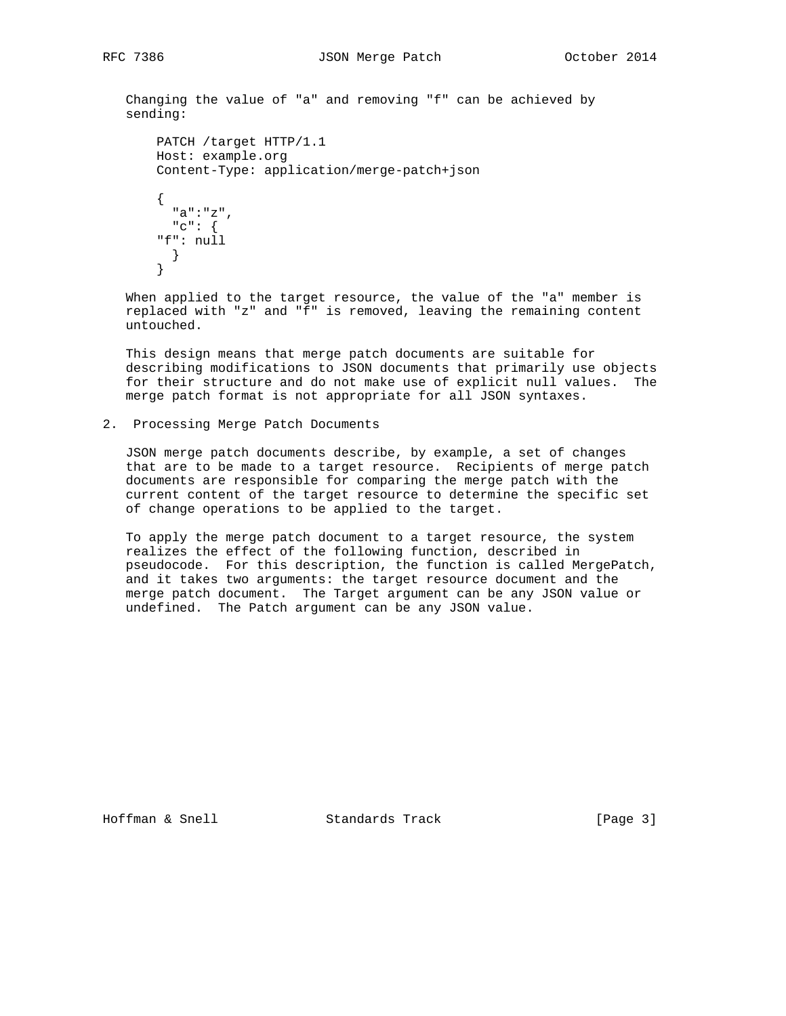Changing the value of "a" and removing "f" can be achieved by sending:

```
 PATCH /target HTTP/1.1
       Host: example.org
       Content-Type: application/merge-patch+json
\{ "a":"z",
         "c": {
        "f": null
        }
       }
```
 When applied to the target resource, the value of the "a" member is replaced with "z" and "f" is removed, leaving the remaining content untouched.

 This design means that merge patch documents are suitable for describing modifications to JSON documents that primarily use objects for their structure and do not make use of explicit null values. The merge patch format is not appropriate for all JSON syntaxes.

2. Processing Merge Patch Documents

 JSON merge patch documents describe, by example, a set of changes that are to be made to a target resource. Recipients of merge patch documents are responsible for comparing the merge patch with the current content of the target resource to determine the specific set of change operations to be applied to the target.

 To apply the merge patch document to a target resource, the system realizes the effect of the following function, described in pseudocode. For this description, the function is called MergePatch, and it takes two arguments: the target resource document and the merge patch document. The Target argument can be any JSON value or undefined. The Patch argument can be any JSON value.

Hoffman & Snell Standards Track [Page 3]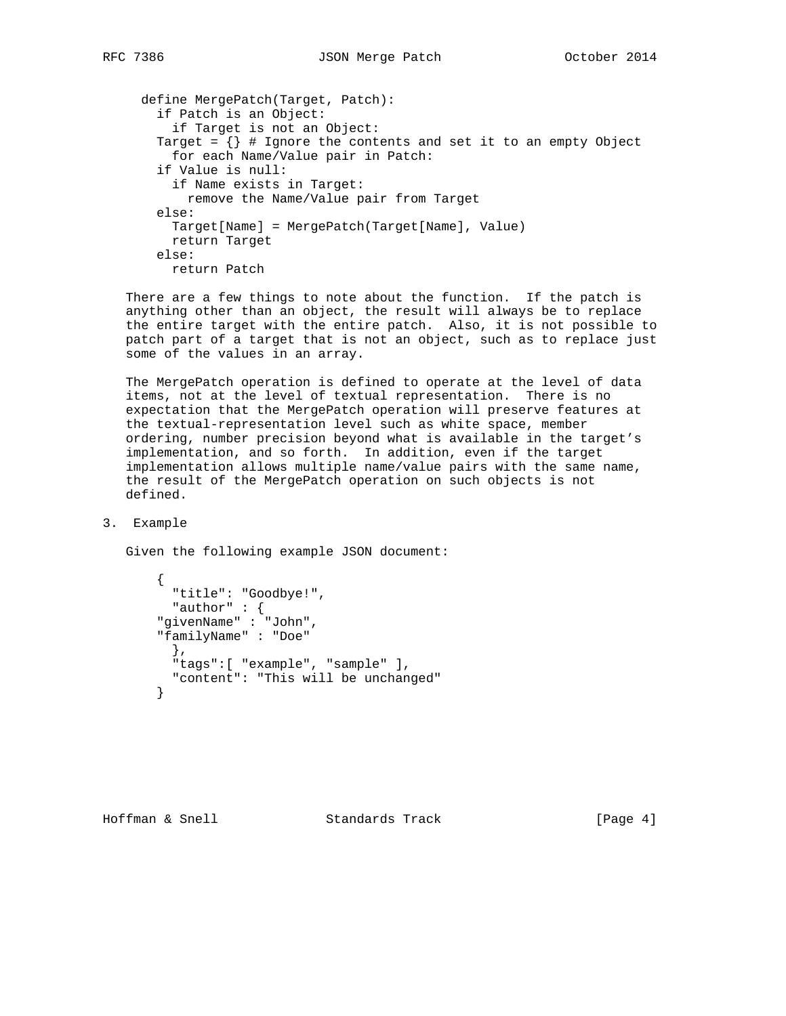define MergePatch(Target, Patch): if Patch is an Object: if Target is not an Object: Target =  $\{\}$  # Ignore the contents and set it to an empty Object for each Name/Value pair in Patch: if Value is null: if Name exists in Target: remove the Name/Value pair from Target else: Target[Name] = MergePatch(Target[Name], Value) return Target else: return Patch

 There are a few things to note about the function. If the patch is anything other than an object, the result will always be to replace the entire target with the entire patch. Also, it is not possible to patch part of a target that is not an object, such as to replace just some of the values in an array.

 The MergePatch operation is defined to operate at the level of data items, not at the level of textual representation. There is no expectation that the MergePatch operation will preserve features at the textual-representation level such as white space, member ordering, number precision beyond what is available in the target's implementation, and so forth. In addition, even if the target implementation allows multiple name/value pairs with the same name, the result of the MergePatch operation on such objects is not defined.

## 3. Example

Given the following example JSON document:

```
 {
   "title": "Goodbye!",
  "author" : {
 "givenName" : "John",
 "familyName" : "Doe"
   },
   "tags":[ "example", "sample" ],
  "content": "This will be unchanged"
 }
```
Hoffman & Snell Standards Track [Page 4]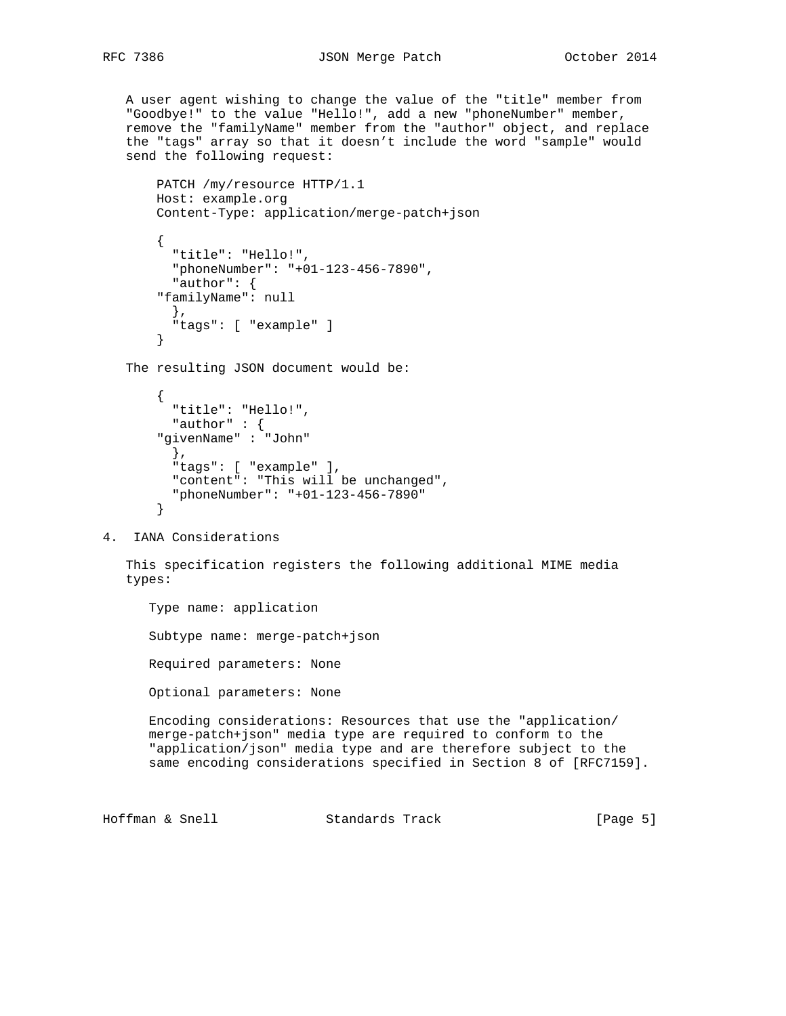A user agent wishing to change the value of the "title" member from "Goodbye!" to the value "Hello!", add a new "phoneNumber" member, remove the "familyName" member from the "author" object, and replace the "tags" array so that it doesn't include the word "sample" would send the following request:

```
 PATCH /my/resource HTTP/1.1
 Host: example.org
 Content-Type: application/merge-patch+json
 {
   "title": "Hello!",
   "phoneNumber": "+01-123-456-7890",
   "author": {
 "familyName": null
   },
   "tags": [ "example" ]
 }
```
The resulting JSON document would be:

```
\{ "title": "Hello!",
          "author" : {
        "givenName" : "John"
          },
          "tags": [ "example" ],
          "content": "This will be unchanged",
          "phoneNumber": "+01-123-456-7890"
        }
```
4. IANA Considerations

 This specification registers the following additional MIME media types:

Type name: application

Subtype name: merge-patch+json

Required parameters: None

Optional parameters: None

 Encoding considerations: Resources that use the "application/ merge-patch+json" media type are required to conform to the "application/json" media type and are therefore subject to the same encoding considerations specified in Section 8 of [RFC7159].

Hoffman & Snell Standards Track [Page 5]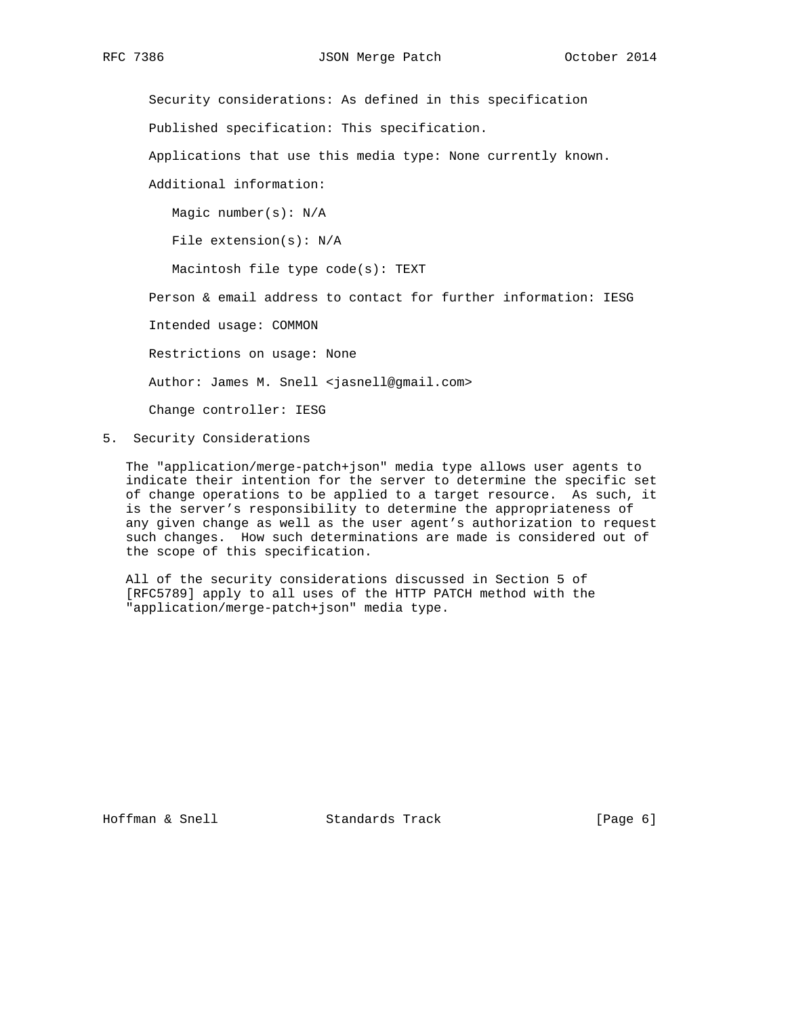Security considerations: As defined in this specification Published specification: This specification. Applications that use this media type: None currently known. Additional information: Magic number(s): N/A File extension(s): N/A Macintosh file type code(s): TEXT Person & email address to contact for further information: IESG Intended usage: COMMON Restrictions on usage: None Author: James M. Snell <jasnell@gmail.com> Change controller: IESG

5. Security Considerations

 The "application/merge-patch+json" media type allows user agents to indicate their intention for the server to determine the specific set of change operations to be applied to a target resource. As such, it is the server's responsibility to determine the appropriateness of any given change as well as the user agent's authorization to request such changes. How such determinations are made is considered out of the scope of this specification.

 All of the security considerations discussed in Section 5 of [RFC5789] apply to all uses of the HTTP PATCH method with the "application/merge-patch+json" media type.

Hoffman & Snell **Standards Track** [Page 6]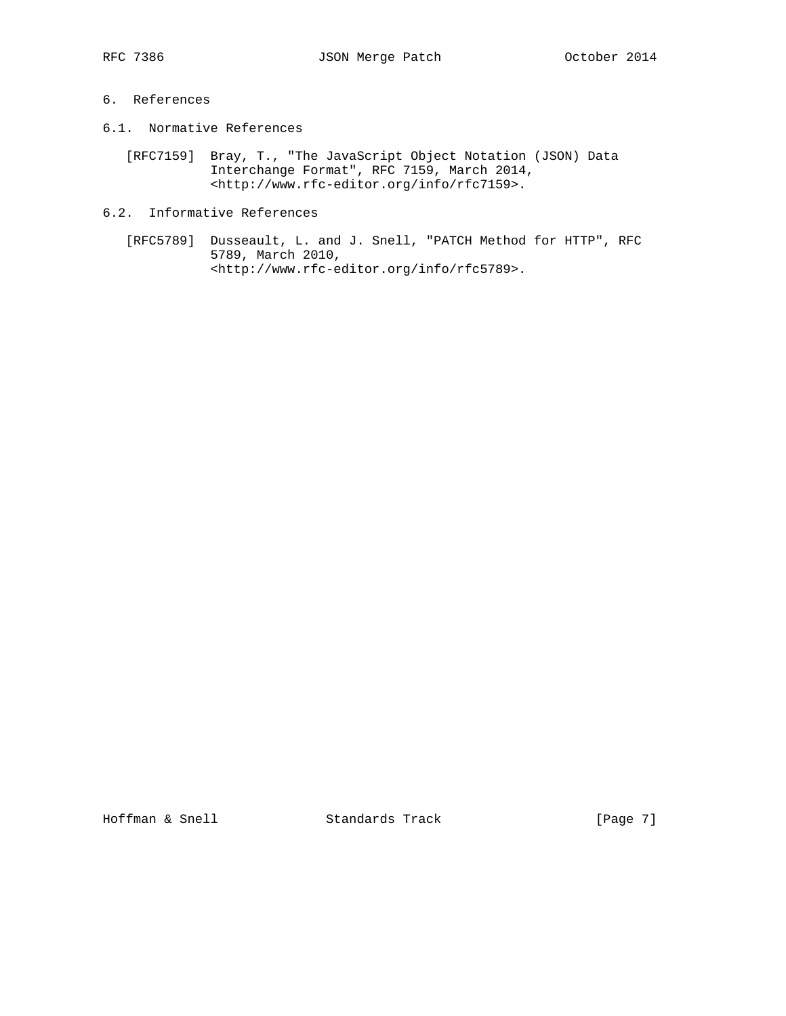# 6. References

- 6.1. Normative References
	- [RFC7159] Bray, T., "The JavaScript Object Notation (JSON) Data Interchange Format", RFC 7159, March 2014, <http://www.rfc-editor.org/info/rfc7159>.
- 6.2. Informative References
	- [RFC5789] Dusseault, L. and J. Snell, "PATCH Method for HTTP", RFC 5789, March 2010, <http://www.rfc-editor.org/info/rfc5789>.

Hoffman & Snell Standards Track [Page 7]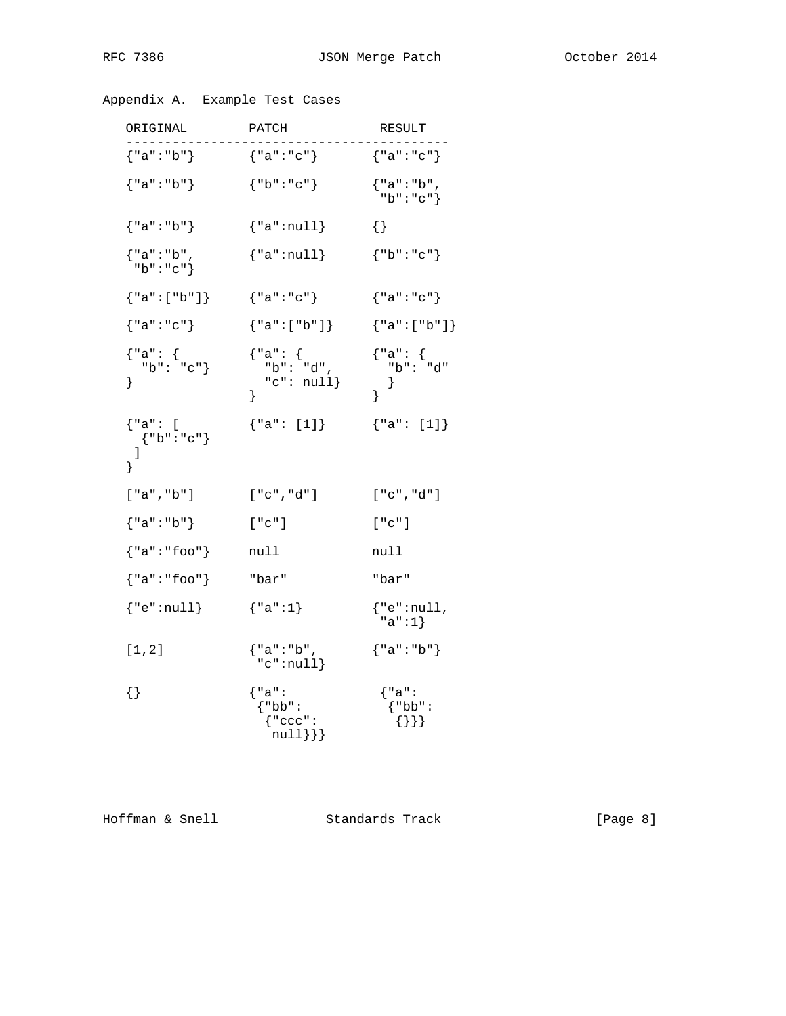| Appendix A. | Example Test Cases |  |  |
|-------------|--------------------|--|--|
|-------------|--------------------|--|--|

| ORIGINAL                                                                                             | PATCH                                                     | RESULT                                                                                                          |
|------------------------------------------------------------------------------------------------------|-----------------------------------------------------------|-----------------------------------------------------------------------------------------------------------------|
| ${ "a": "b" }$                                                                                       | {"a":"c"}                                                 | ${''a": "c"}$                                                                                                   |
| ${ "a": "b" }$                                                                                       | ${ "b": "c" }$                                            | {"a":"b",<br>" $b$ ":" $c$ "}                                                                                   |
| ${ "a": "b" }$                                                                                       | ${ "a":null }$                                            | $\{\}$                                                                                                          |
| {"a":"b",<br>" $b$ ":" $c$ "}                                                                        | ${ "a":null }$                                            | ${ "b": "c" }$                                                                                                  |
| ${ "a": [ "b"] }$                                                                                    | ${ "a": "c" }$                                            | {"a":"c"}                                                                                                       |
| ${ "a": "c" }$                                                                                       | ${ "a": [ "b"] }$                                         | ${ "a": [ "b" ] }$                                                                                              |
| ${^\texttt{''a":}\atop{^\texttt{''b":}\atop^\texttt{''c"\atop^\texttt{''c"\atop^\texttt{''}}}}$<br>} | {"a": {<br>"b": "d",<br>" $c$ ": $null$ }<br>ł            | ${\begin{matrix} \n^{\cdot} a \cdot \cdot & \n^{\cdot} b \cdot \cdot & \n^{\cdot} d \cdot \n\end{matrix}}$<br>ł |
| {"a": [<br>${ "b": "c" }$<br>1<br>ł                                                                  | ${ "a": [1]}$                                             | ${ "a": [1]}$                                                                                                   |
| [ "a", "b" ]                                                                                         | [ "c", "d" ]                                              | [ "c", "d" ]                                                                                                    |
| {"a":"b"}                                                                                            | ["c"]                                                     | ["c"]                                                                                                           |
| ${ "a": "foo" }$                                                                                     | null                                                      | null                                                                                                            |
| ${ "a": "foo" }$                                                                                     | "bar"                                                     | "bar"                                                                                                           |
| ${ "e":null }$                                                                                       | ${ "a": 1 }$                                              | $\{$ "e":null,<br>$"a" : 1\}$                                                                                   |
| [1, 2]                                                                                               | {"a":"b",<br>"c":null                                     | ${ "a": "b" }$                                                                                                  |
| $\{\}$                                                                                               | $\{$ "a":<br>$\{\n"bb"\colon$<br>{ "ccc":<br>$null$ } } } | $\{$ "a":<br>$\{\n"bb"\colon$<br>$\{\}\}$                                                                       |

Hoffman & Snell Standards Track [Page 8]